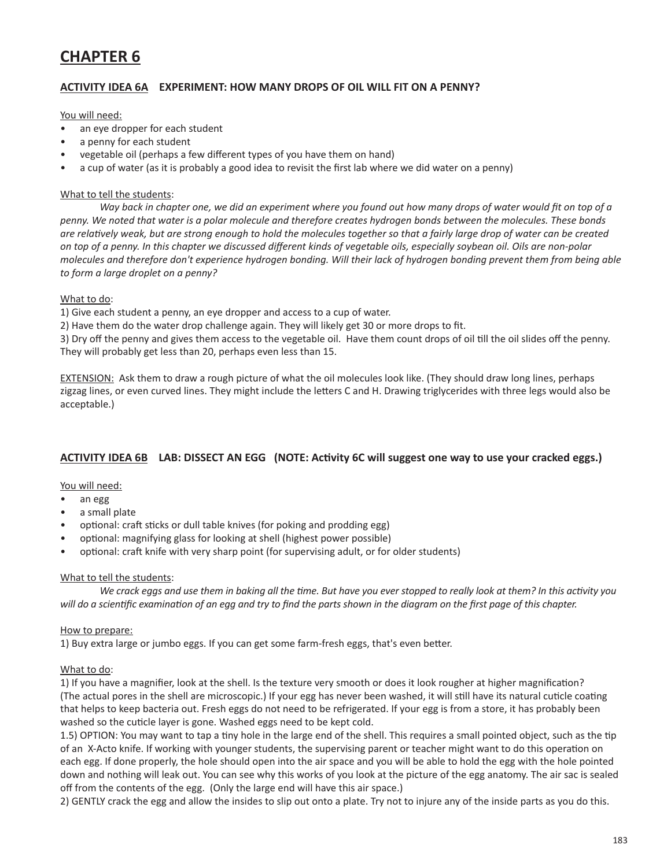# **CHAPTER 6**

# **ACTIVITY IDEA 6A EXPERIMENT: HOW MANY DROPS OF OIL WILL FIT ON A PENNY?**

#### You will need:

- an eye dropper for each student
- a penny for each student
- vegetable oil (perhaps a few different types of you have them on hand)
- a cup of water (as it is probably a good idea to revisit the first lab where we did water on a penny)

#### What to tell the students:

Way back in chapter one, we did an experiment where you found out how many drops of water would fit on top of a *penny. We noted that water is a polar molecule and therefore creates hydrogen bonds between the molecules. These bonds*  are relatively weak, but are strong enough to hold the molecules together so that a fairly large drop of water can be created on top of a penny. In this chapter we discussed different kinds of vegetable oils, especially soybean oil. Oils are non-polar molecules and therefore don't experience hydrogen bonding. Will their lack of hydrogen bonding prevent them from being able *to form a large droplet on a penny?* 

#### What to do:

1) Give each student a penny, an eye dropper and access to a cup of water.

2) Have them do the water drop challenge again. They will likely get 30 or more drops to fit.

3) Dry off the penny and gives them access to the vegetable oil. Have them count drops of oil till the oil slides off the penny. They will probably get less than 20, perhaps even less than 15.

EXTENSION: Ask them to draw a rough picture of what the oil molecules look like. (They should draw long lines, perhaps zigzag lines, or even curved lines. They might include the letters C and H. Drawing triglycerides with three legs would also be acceptable.)

# **ACTIVITY IDEA 6B LAB: DISSECT AN EGG (NOTE: Activity 6C will suggest one way to use your cracked eggs.)**

## You will need:

- an egg
- a small plate
- optional: craft sticks or dull table knives (for poking and prodding egg)
- optional: magnifying glass for looking at shell (highest power possible)
- optional: craft knife with very sharp point (for supervising adult, or for older students)

## What to tell the students:

We crack eggs and use them in baking all the time. But have you ever stopped to really look at them? In this activity you will do a scientific examination of an egg and try to find the parts shown in the diagram on the first page of this chapter.

#### How to prepare:

1) Buy extra large or jumbo eggs. If you can get some farm-fresh eggs, that's even better.

## What to do:

1) If you have a magnifier, look at the shell. Is the texture very smooth or does it look rougher at higher magnification? (The actual pores in the shell are microscopic.) If your egg has never been washed, it will still have its natural cuticle coating that helps to keep bacteria out. Fresh eggs do not need to be refrigerated. If your egg is from a store, it has probably been washed so the cuticle layer is gone. Washed eggs need to be kept cold.

1.5) OPTION: You may want to tap a tiny hole in the large end of the shell. This requires a small pointed object, such as the tip of an X-Acto knife. If working with younger students, the supervising parent or teacher might want to do this operation on each egg. If done properly, the hole should open into the air space and you will be able to hold the egg with the hole pointed down and nothing will leak out. You can see why this works of you look at the picture of the egg anatomy. The air sac is sealed off from the contents of the egg. (Only the large end will have this air space.)

2) GENTLY crack the egg and allow the insides to slip out onto a plate. Try not to injure any of the inside parts as you do this.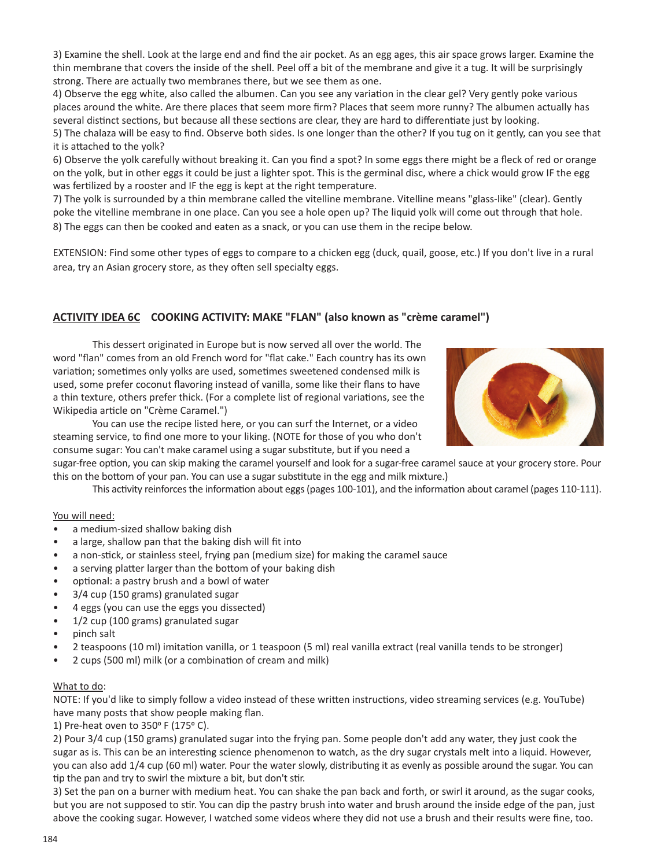3) Examine the shell. Look at the large end and find the air pocket. As an egg ages, this air space grows larger. Examine the thin membrane that covers the inside of the shell. Peel off a bit of the membrane and give it a tug. It will be surprisingly strong. There are actually two membranes there, but we see them as one.

4) Observe the egg white, also called the albumen. Can you see any variation in the clear gel? Very gently poke various places around the white. Are there places that seem more firm? Places that seem more runny? The albumen actually has several distinct sections, but because all these sections are clear, they are hard to differentiate just by looking.

5) The chalaza will be easy to find. Observe both sides. Is one longer than the other? If you tug on it gently, can you see that it is attached to the yolk?

6) Observe the yolk carefully without breaking it. Can you find a spot? In some eggs there might be a fleck of red or orange on the yolk, but in other eggs it could be just a lighter spot. This is the germinal disc, where a chick would grow IF the egg was fertilized by a rooster and IF the egg is kept at the right temperature.

7) The yolk is surrounded by a thin membrane called the vitelline membrane. Vitelline means "glass-like" (clear). Gently poke the vitelline membrane in one place. Can you see a hole open up? The liquid yolk will come out through that hole. 8) The eggs can then be cooked and eaten as a snack, or you can use them in the recipe below.

EXTENSION: Find some other types of eggs to compare to a chicken egg (duck, quail, goose, etc.) If you don't live in a rural area, try an Asian grocery store, as they often sell specialty eggs.

# **ACTIVITY IDEA 6C COOKING ACTIVITY: MAKE "FLAN" (also known as "crème caramel")**

This dessert originated in Europe but is now served all over the world. The word "flan" comes from an old French word for "flat cake." Each country has its own variation; sometimes only yolks are used, sometimes sweetened condensed milk is used, some prefer coconut flavoring instead of vanilla, some like their flans to have a thin texture, others prefer thick. (For a complete list of regional variations, see the Wikipedia article on "Crème Caramel.")



You can use the recipe listed here, or you can surf the Internet, or a video steaming service, to find one more to your liking. (NOTE for those of you who don't consume sugar: You can't make caramel using a sugar substitute, but if you need a

sugar-free option, you can skip making the caramel yourself and look for a sugar-free caramel sauce at your grocery store. Pour this on the bottom of your pan. You can use a sugar substitute in the egg and milk mixture.)

This activity reinforces the information about eggs (pages 100-101), and the information about caramel (pages 110-111).

#### You will need:

- a medium-sized shallow baking dish
- a large, shallow pan that the baking dish will fit into
- a non-stick, or stainless steel, frying pan (medium size) for making the caramel sauce
- a serving platter larger than the bottom of your baking dish
- optional: a pastry brush and a bowl of water
- 3/4 cup (150 grams) granulated sugar
- 4 eggs (you can use the eggs you dissected)
- 1/2 cup (100 grams) granulated sugar
- pinch salt
- 2 teaspoons (10 ml) imitation vanilla, or 1 teaspoon (5 ml) real vanilla extract (real vanilla tends to be stronger)
- 2 cups (500 ml) milk (or a combination of cream and milk)

#### What to do:

NOTE: If you'd like to simply follow a video instead of these written instructions, video streaming services (e.g. YouTube) have many posts that show people making flan.

1) Pre-heat oven to 350° F (175° C).

2) Pour 3/4 cup (150 grams) granulated sugar into the frying pan. Some people don't add any water, they just cook the sugar as is. This can be an interesting science phenomenon to watch, as the dry sugar crystals melt into a liquid. However, you can also add 1/4 cup (60 ml) water. Pour the water slowly, distributing it as evenly as possible around the sugar. You can tip the pan and try to swirl the mixture a bit, but don't stir.

3) Set the pan on a burner with medium heat. You can shake the pan back and forth, or swirl it around, as the sugar cooks, but you are not supposed to stir. You can dip the pastry brush into water and brush around the inside edge of the pan, just above the cooking sugar. However, I watched some videos where they did not use a brush and their results were fine, too.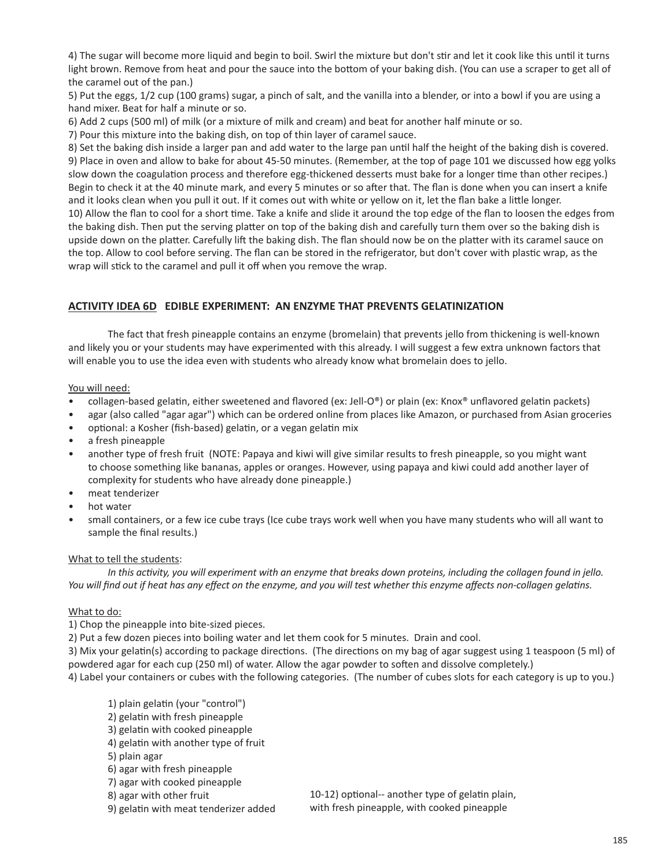4) The sugar will become more liquid and begin to boil. Swirl the mixture but don't stir and let it cook like this until it turns light brown. Remove from heat and pour the sauce into the bottom of your baking dish. (You can use a scraper to get all of the caramel out of the pan.)

5) Put the eggs, 1/2 cup (100 grams) sugar, a pinch of salt, and the vanilla into a blender, or into a bowl if you are using a hand mixer. Beat for half a minute or so.

6) Add 2 cups (500 ml) of milk (or a mixture of milk and cream) and beat for another half minute or so.

7) Pour this mixture into the baking dish, on top of thin layer of caramel sauce.

8) Set the baking dish inside a larger pan and add water to the large pan until half the height of the baking dish is covered. 9) Place in oven and allow to bake for about 45-50 minutes. (Remember, at the top of page 101 we discussed how egg yolks slow down the coagulation process and therefore egg-thickened desserts must bake for a longer time than other recipes.) Begin to check it at the 40 minute mark, and every 5 minutes or so after that. The flan is done when you can insert a knife and it looks clean when you pull it out. If it comes out with white or yellow on it, let the flan bake a little longer. 10) Allow the flan to cool for a short time. Take a knife and slide it around the top edge of the flan to loosen the edges from the baking dish. Then put the serving platter on top of the baking dish and carefully turn them over so the baking dish is upside down on the platter. Carefully lift the baking dish. The flan should now be on the platter with its caramel sauce on the top. Allow to cool before serving. The flan can be stored in the refrigerator, but don't cover with plastic wrap, as the wrap will stick to the caramel and pull it off when you remove the wrap.

## **ACTIVITY IDEA 6D EDIBLE EXPERIMENT: AN ENZYME THAT PREVENTS GELATINIZATION**

The fact that fresh pineapple contains an enzyme (bromelain) that prevents jello from thickening is well-known and likely you or your students may have experimented with this already. I will suggest a few extra unknown factors that will enable you to use the idea even with students who already know what bromelain does to jello.

You will need:

- collagen-based gelatin, either sweetened and flavored (ex: Jell-O®) or plain (ex: Knox® unflavored gelatin packets)
- agar (also called "agar agar") which can be ordered online from places like Amazon, or purchased from Asian groceries
- optional: a Kosher (fish-based) gelatin, or a vegan gelatin mix
- a fresh pineapple
- another type of fresh fruit (NOTE: Papaya and kiwi will give similar results to fresh pineapple, so you might want to choose something like bananas, apples or oranges. However, using papaya and kiwi could add another layer of complexity for students who have already done pineapple.)
- meat tenderizer
- hot water
- small containers, or a few ice cube trays (Ice cube trays work well when you have many students who will all want to sample the final results.)

#### What to tell the students:

In this activity, you will experiment with an enzyme that breaks down proteins, including the collagen found in jello. You will find out if heat has any effect on the enzyme, and you will test whether this enzyme affects non-collagen gelatins.

## What to do:

1) Chop the pineapple into bite-sized pieces.

2) Put a few dozen pieces into boiling water and let them cook for 5 minutes. Drain and cool.

3) Mix your gelatin(s) according to package directions. (The directions on my bag of agar suggest using 1 teaspoon (5 ml) of powdered agar for each cup (250 ml) of water. Allow the agar powder to soften and dissolve completely.)

4) Label your containers or cubes with the following categories. (The number of cubes slots for each category is up to you.)

- 1) plain gelatin (your "control")
- 2) gelatin with fresh pineapple
- 3) gelatin with cooked pineapple
- 4) gelatin with another type of fruit
- 5) plain agar
- 6) agar with fresh pineapple
- 7) agar with cooked pineapple
- 8) agar with other fruit
- 9) gelatin with meat tenderizer added

10-12) optional-- another type of gelatin plain, with fresh pineapple, with cooked pineapple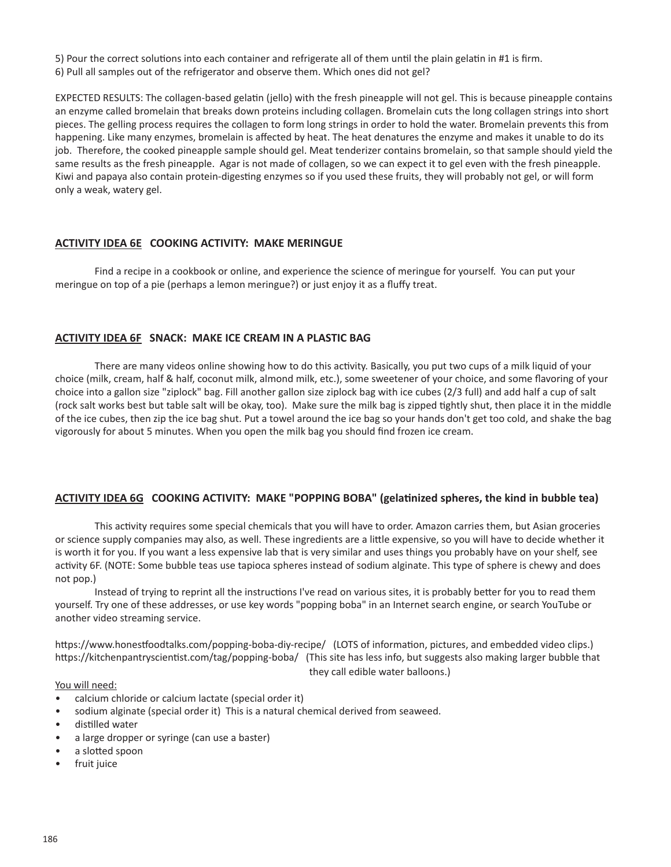5) Pour the correct solutions into each container and refrigerate all of them until the plain gelatin in #1 is firm.

6) Pull all samples out of the refrigerator and observe them. Which ones did not gel?

EXPECTED RESULTS: The collagen-based gelatin (jello) with the fresh pineapple will not gel. This is because pineapple contains an enzyme called bromelain that breaks down proteins including collagen. Bromelain cuts the long collagen strings into short pieces. The gelling process requires the collagen to form long strings in order to hold the water. Bromelain prevents this from happening. Like many enzymes, bromelain is affected by heat. The heat denatures the enzyme and makes it unable to do its job. Therefore, the cooked pineapple sample should gel. Meat tenderizer contains bromelain, so that sample should yield the same results as the fresh pineapple. Agar is not made of collagen, so we can expect it to gel even with the fresh pineapple. Kiwi and papaya also contain protein-digesting enzymes so if you used these fruits, they will probably not gel, or will form only a weak, watery gel.

# **ACTIVITY IDEA 6E COOKING ACTIVITY: MAKE MERINGUE**

Find a recipe in a cookbook or online, and experience the science of meringue for yourself. You can put your meringue on top of a pie (perhaps a lemon meringue?) or just enjoy it as a fluffy treat.

# **ACTIVITY IDEA 6F SNACK: MAKE ICE CREAM IN A PLASTIC BAG**

There are many videos online showing how to do this activity. Basically, you put two cups of a milk liquid of your choice (milk, cream, half & half, coconut milk, almond milk, etc.), some sweetener of your choice, and some flavoring of your choice into a gallon size "ziplock" bag. Fill another gallon size ziplock bag with ice cubes (2/3 full) and add half a cup of salt (rock salt works best but table salt will be okay, too). Make sure the milk bag is zipped tightly shut, then place it in the middle of the ice cubes, then zip the ice bag shut. Put a towel around the ice bag so your hands don't get too cold, and shake the bag vigorously for about 5 minutes. When you open the milk bag you should find frozen ice cream.

# **ACTIVITY IDEA 6G COOKING ACTIVITY: MAKE "POPPING BOBA" (gelatinized spheres, the kind in bubble tea)**

This activity requires some special chemicals that you will have to order. Amazon carries them, but Asian groceries or science supply companies may also, as well. These ingredients are a little expensive, so you will have to decide whether it is worth it for you. If you want a less expensive lab that is very similar and uses things you probably have on your shelf, see activity 6F. (NOTE: Some bubble teas use tapioca spheres instead of sodium alginate. This type of sphere is chewy and does not pop.)

Instead of trying to reprint all the instructions I've read on various sites, it is probably better for you to read them yourself. Try one of these addresses, or use key words "popping boba" in an Internet search engine, or search YouTube or another video streaming service.

https://www.honestfoodtalks.com/popping-boba-diy-recipe/ (LOTS of information, pictures, and embedded video clips.) https://kitchenpantryscientist.com/tag/popping-boba/ (This site has less info, but suggests also making larger bubble that

they call edible water balloons.)

#### You will need:

- calcium chloride or calcium lactate (special order it)
- sodium alginate (special order it) This is a natural chemical derived from seaweed.
- distilled water
- a large dropper or syringe (can use a baster)
- a slotted spoon
- fruit juice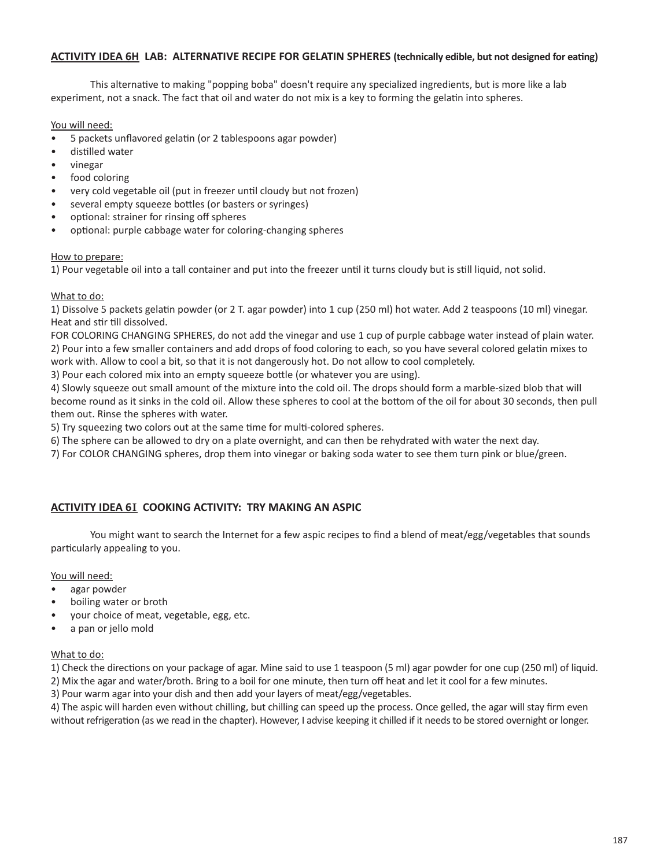## **ACTIVITY IDEA 6H LAB: ALTERNATIVE RECIPE FOR GELATIN SPHERES (technically edible, but not designed for eating)**

This alternative to making "popping boba" doesn't require any specialized ingredients, but is more like a lab experiment, not a snack. The fact that oil and water do not mix is a key to forming the gelatin into spheres.

You will need:

- 5 packets unflavored gelatin (or 2 tablespoons agar powder)
- distilled water
- vinegar
- food coloring
- very cold vegetable oil (put in freezer until cloudy but not frozen)
- several empty squeeze bottles (or basters or syringes)
- optional: strainer for rinsing off spheres
- optional: purple cabbage water for coloring-changing spheres

## How to prepare:

1) Pour vegetable oil into a tall container and put into the freezer until it turns cloudy but is still liquid, not solid.

## What to do:

1) Dissolve 5 packets gelatin powder (or 2 T. agar powder) into 1 cup (250 ml) hot water. Add 2 teaspoons (10 ml) vinegar. Heat and stir till dissolved.

FOR COLORING CHANGING SPHERES, do not add the vinegar and use 1 cup of purple cabbage water instead of plain water. 2) Pour into a few smaller containers and add drops of food coloring to each, so you have several colored gelatin mixes to

work with. Allow to cool a bit, so that it is not dangerously hot. Do not allow to cool completely.

3) Pour each colored mix into an empty squeeze bottle (or whatever you are using).

4) Slowly squeeze out small amount of the mixture into the cold oil. The drops should form a marble-sized blob that will become round as it sinks in the cold oil. Allow these spheres to cool at the bottom of the oil for about 30 seconds, then pull them out. Rinse the spheres with water.

5) Try squeezing two colors out at the same time for multi-colored spheres.

6) The sphere can be allowed to dry on a plate overnight, and can then be rehydrated with water the next day.

7) For COLOR CHANGING spheres, drop them into vinegar or baking soda water to see them turn pink or blue/green.

# **ACTIVITY IDEA 6**I **COOKING ACTIVITY: TRY MAKING AN ASPIC**

You might want to search the Internet for a few aspic recipes to find a blend of meat/egg/vegetables that sounds particularly appealing to you.

## You will need:

- agar powder
- boiling water or broth
- your choice of meat, vegetable, egg, etc.
- a pan or jello mold

#### What to do:

1) Check the directions on your package of agar. Mine said to use 1 teaspoon (5 ml) agar powder for one cup (250 ml) of liquid.

2) Mix the agar and water/broth. Bring to a boil for one minute, then turn off heat and let it cool for a few minutes.

3) Pour warm agar into your dish and then add your layers of meat/egg/vegetables.

4) The aspic will harden even without chilling, but chilling can speed up the process. Once gelled, the agar will stay firm even without refrigeration (as we read in the chapter). However, I advise keeping it chilled if it needs to be stored overnight or longer.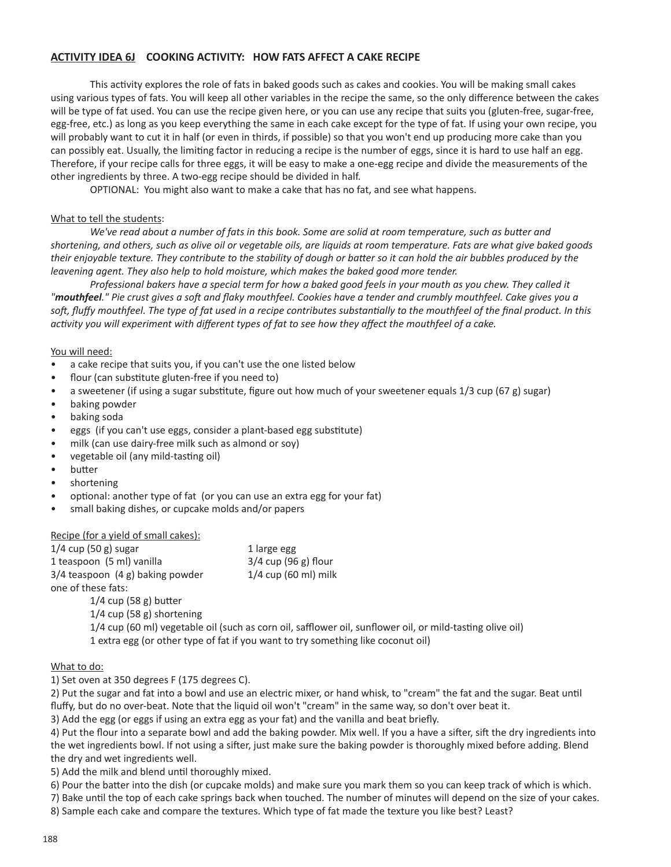## **ACTIVITY IDEA 6J COOKING ACTIVITY: HOW FATS AFFECT A CAKE RECIPE**

This activity explores the role of fats in baked goods such as cakes and cookies. You will be making small cakes using various types of fats. You will keep all other variables in the recipe the same, so the only difference between the cakes will be type of fat used. You can use the recipe given here, or you can use any recipe that suits you (gluten-free, sugar-free, egg-free, etc.) as long as you keep everything the same in each cake except for the type of fat. If using your own recipe, you will probably want to cut it in half (or even in thirds, if possible) so that you won't end up producing more cake than you can possibly eat. Usually, the limiting factor in reducing a recipe is the number of eggs, since it is hard to use half an egg. Therefore, if your recipe calls for three eggs, it will be easy to make a one-egg recipe and divide the measurements of the other ingredients by three. A two-egg recipe should be divided in half.

OPTIONAL: You might also want to make a cake that has no fat, and see what happens.

#### What to tell the students:

We've read about a number of fats in this book. Some are solid at room temperature, such as butter and shortening, and others, such as olive oil or vegetable oils, are liquids at room temperature. Fats are what give baked goods their enjoyable texture. They contribute to the stability of dough or batter so it can hold the air bubbles produced by the *leavening agent. They also help to hold moisture, which makes the baked good more tender.*

Professional bakers have a special term for how a baked good feels in your mouth as you chew. They called it "mouthfeel." Pie crust gives a soft and flaky mouthfeel. Cookies have a tender and crumbly mouthfeel. Cake gives you a soft, fluffy mouthfeel. The type of fat used in a recipe contributes substantially to the mouthfeel of the final product. In this activity you will experiment with different types of fat to see how they affect the mouthfeel of a cake.

#### You will need:

- a cake recipe that suits you, if you can't use the one listed below
- flour (can substitute gluten-free if you need to)
- a sweetener (if using a sugar substitute, figure out how much of your sweetener equals 1/3 cup (67 g) sugar)
- baking powder
- baking soda
- eggs (if you can't use eggs, consider a plant-based egg substitute)
- milk (can use dairy-free milk such as almond or soy)
- vegetable oil (any mild-tasting oil)
- butter
- shortening
- optional: another type of fat (or you can use an extra egg for your fat)
- small baking dishes, or cupcake molds and/or papers

#### Recipe (for a yield of small cakes):

| $1/4$ cup (50 g) sugar               | 1 large egg                                                                                               |
|--------------------------------------|-----------------------------------------------------------------------------------------------------------|
| 1 teaspoon (5 ml) vanilla            | $3/4$ cup (96 g) flour                                                                                    |
| $3/4$ teaspoon $(4 g)$ baking powder | $1/4$ cup (60 ml) milk                                                                                    |
| one of these fats:                   |                                                                                                           |
| $1/4$ cup (58 g) butter              |                                                                                                           |
| $1/4$ cup (58 g) shortening          |                                                                                                           |
|                                      | 1/4 cup (60 ml) vegetable oil (such as corn oil, safflower oil, sunflower oil, or mild-tasting olive oil) |
|                                      | 1 extra egg (or other type of fat if you want to try something like coconut oil)                          |

#### What to do:

1) Set oven at 350 degrees F (175 degrees C).

2) Put the sugar and fat into a bowl and use an electric mixer, or hand whisk, to "cream" the fat and the sugar. Beat until fluffy, but do no over-beat. Note that the liquid oil won't "cream" in the same way, so don't over beat it.

3) Add the egg (or eggs if using an extra egg as your fat) and the vanilla and beat briefly.

4) Put the flour into a separate bowl and add the baking powder. Mix well. If you a have a sifter, sift the dry ingredients into the wet ingredients bowl. If not using a sifter, just make sure the baking powder is thoroughly mixed before adding. Blend the dry and wet ingredients well.

5) Add the milk and blend until thoroughly mixed.

6) Pour the batter into the dish (or cupcake molds) and make sure you mark them so you can keep track of which is which.

7) Bake until the top of each cake springs back when touched. The number of minutes will depend on the size of your cakes.

8) Sample each cake and compare the textures. Which type of fat made the texture you like best? Least?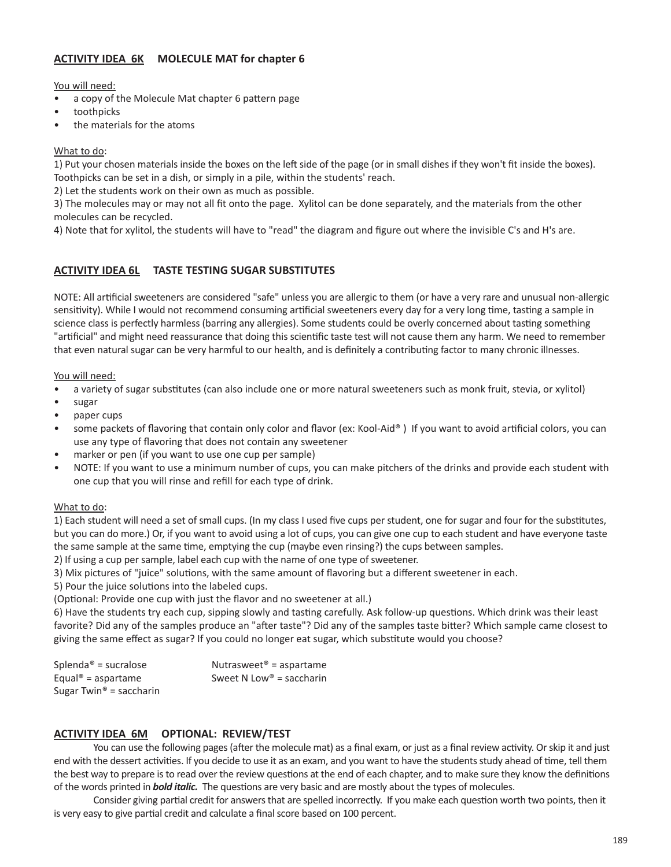# **ACTIVITY IDEA 6K MOLECULE MAT for chapter 6**

You will need:

- a copy of the Molecule Mat chapter 6 pattern page
- toothpicks
- the materials for the atoms

#### What to do:

1) Put your chosen materials inside the boxes on the left side of the page (or in small dishes if they won't fit inside the boxes). Toothpicks can be set in a dish, or simply in a pile, within the students' reach.

2) Let the students work on their own as much as possible.

3) The molecules may or may not all fit onto the page. Xylitol can be done separately, and the materials from the other molecules can be recycled.

4) Note that for xylitol, the students will have to "read" the diagram and figure out where the invisible C's and H's are.

# **ACTIVITY IDEA 6L TASTE TESTING SUGAR SUBSTITUTES**

NOTE: All artificial sweeteners are considered "safe" unless you are allergic to them (or have a very rare and unusual non-allergic sensitivity). While I would not recommend consuming artificial sweeteners every day for a very long time, tasting a sample in science class is perfectly harmless (barring any allergies). Some students could be overly concerned about tasting something "artificial" and might need reassurance that doing this scientific taste test will not cause them any harm. We need to remember that even natural sugar can be very harmful to our health, and is definitely a contributing factor to many chronic illnesses.

You will need:

- a variety of sugar substitutes (can also include one or more natural sweeteners such as monk fruit, stevia, or xylitol)
- sugar
- paper cups
- some packets of flavoring that contain only color and flavor (ex: Kool-Aid®) If you want to avoid artificial colors, you can use any type of flavoring that does not contain any sweetener
- marker or pen (if you want to use one cup per sample)
- NOTE: If you want to use a minimum number of cups, you can make pitchers of the drinks and provide each student with one cup that you will rinse and refill for each type of drink.

## What to do:

1) Each student will need a set of small cups. (In my class I used five cups per student, one for sugar and four for the substitutes, but you can do more.) Or, if you want to avoid using a lot of cups, you can give one cup to each student and have everyone taste the same sample at the same time, emptying the cup (maybe even rinsing?) the cups between samples.

2) If using a cup per sample, label each cup with the name of one type of sweetener.

3) Mix pictures of "juice" solutions, with the same amount of flavoring but a different sweetener in each.

5) Pour the juice solutions into the labeled cups.

(Optional: Provide one cup with just the flavor and no sweetener at all.)

6) Have the students try each cup, sipping slowly and tasting carefully. Ask follow-up questions. Which drink was their least favorite? Did any of the samples produce an "after taste"? Did any of the samples taste bitter? Which sample came closest to giving the same effect as sugar? If you could no longer eat sugar, which substitute would you choose?

| Splenda <sup>®</sup> = sucralose    | Nutrasweet <sup>®</sup> = aspartame  |
|-------------------------------------|--------------------------------------|
| Equal <sup>®</sup> = aspartame      | Sweet N Low <sup>®</sup> = saccharin |
| Sugar Twin <sup>®</sup> = saccharin |                                      |

## **ACTIVITY IDEA 6M OPTIONAL: REVIEW/TEST**

You can use the following pages (after the molecule mat) as a final exam, or just as a final review activity. Or skip it and just end with the dessert activities. If you decide to use it as an exam, and you want to have the students study ahead of time, tell them the best way to prepare is to read over the review questions at the end of each chapter, and to make sure they know the definitions of the words printed in *bold italic.* The questions are very basic and are mostly about the types of molecules.

Consider giving partial credit for answers that are spelled incorrectly. If you make each question worth two points, then it is very easy to give partial credit and calculate a final score based on 100 percent.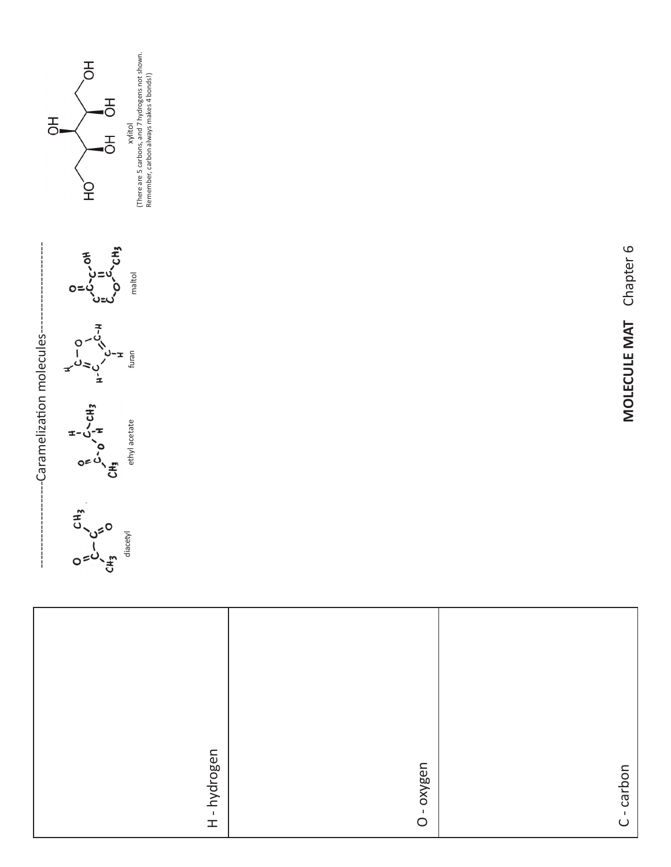|              | -Caramelization molecules-                                                                                                                                                                                                                              |                      |
|--------------|---------------------------------------------------------------------------------------------------------------------------------------------------------------------------------------------------------------------------------------------------------|----------------------|
|              | A<br>C-O<br>$\mu$ -C-C-H<br>$\mu$ -C-C-H<br>L-C<br>L-C-C-CH3<br>$O$<br>$O$<br>$O$<br>$O$<br>$O$<br>$O$<br>$H$<br>$I$<br>$I$<br>$I$<br>$I$<br>$I$<br>$I$<br>$I$<br>ethyl acetate<br>$O$<br>$C$ $C$<br>$C$ $C$<br>$C$ $D$<br>$C$ $D$<br>$D$<br>$D$<br>$D$ |                      |
| H-hydrogen   |                                                                                                                                                                                                                                                         |                      |
|              |                                                                                                                                                                                                                                                         |                      |
| O - oxygen   |                                                                                                                                                                                                                                                         |                      |
|              |                                                                                                                                                                                                                                                         |                      |
| $C$ - carbon | <b>MOLECULE MAT</b>                                                                                                                                                                                                                                     | Chapter <sub>6</sub> |





Wiltol<br>There are 5 carbons, and 7 hydrogens not shown.<br>Remember, carbon always makes 4 bonds!) (There are 5 carbons, and 7 hydrogens not shown. Remember, carbon always makes 4 bonds!)xylitol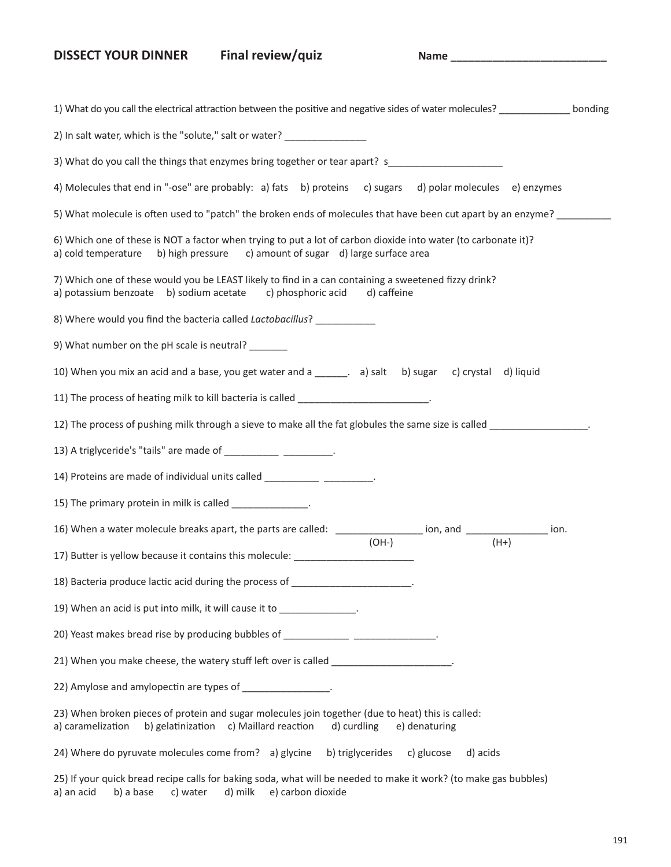# DISSECT YOUR DINNER Final review/quiz Name Name

| Final review/quiz |  |
|-------------------|--|

| 1) What do you call the electrical attraction between the positive and negative sides of water molecules? __________<br>bonding                                                                 |
|-------------------------------------------------------------------------------------------------------------------------------------------------------------------------------------------------|
| 2) In salt water, which is the "solute," salt or water? _________________                                                                                                                       |
| 3) What do you call the things that enzymes bring together or tear apart? s_________________________                                                                                            |
| 4) Molecules that end in "-ose" are probably: a) fats b) proteins c) sugars d) polar molecules e) enzymes                                                                                       |
| 5) What molecule is often used to "patch" the broken ends of molecules that have been cut apart by an enzyme?                                                                                   |
| 6) Which one of these is NOT a factor when trying to put a lot of carbon dioxide into water (to carbonate it)?<br>a) cold temperature b) high pressure c) amount of sugar d) large surface area |
| 7) Which one of these would you be LEAST likely to find in a can containing a sweetened fizzy drink?<br>a) potassium benzoate b) sodium acetate c) phosphoric acid<br>d) caffeine               |
| 8) Where would you find the bacteria called Lactobacillus? ____________                                                                                                                         |
| 9) What number on the pH scale is neutral?                                                                                                                                                      |
| 10) When you mix an acid and a base, you get water and a _______. a) salt b) sugar c) crystal d) liquid                                                                                         |
| 11) The process of heating milk to kill bacteria is called _____________________                                                                                                                |
| 12) The process of pushing milk through a sieve to make all the fat globules the same size is called _________                                                                                  |
| 13) A triglyceride's "tails" are made of ____________ __________.                                                                                                                               |
| 14) Proteins are made of individual units called _____________ __________.                                                                                                                      |
| 15) The primary protein in milk is called ______________.                                                                                                                                       |
| 16) When a water molecule breaks apart, the parts are called: __________________ ion, and _________________ ion.                                                                                |
| $(OH-)$<br>$(H+)$<br>17) Butter is yellow because it contains this molecule: ________________________                                                                                           |
| 18) Bacteria produce lactic acid during the process of _____________________.                                                                                                                   |
| 19) When an acid is put into milk, it will cause it to _____________.                                                                                                                           |
| 20) Yeast makes bread rise by producing bubbles of _____________ _______________.                                                                                                               |
| 21) When you make cheese, the watery stuff left over is called _______________________.                                                                                                         |
| 22) Amylose and amylopectin are types of __________________.                                                                                                                                    |
| 23) When broken pieces of protein and sugar molecules join together (due to heat) this is called:<br>a) caramelization b) gelatinization c) Maillard reaction<br>d) curdling<br>e) denaturing   |
| 24) Where do pyruvate molecules come from? a) glycine b) triglycerides c) glucose<br>d) acids                                                                                                   |
| 25) If your quick bread recipe calls for baking soda, what will be needed to make it work? (to make gas bubbles)<br>d) milk e) carbon dioxide<br>a) an acid<br>b) a base<br>c) water            |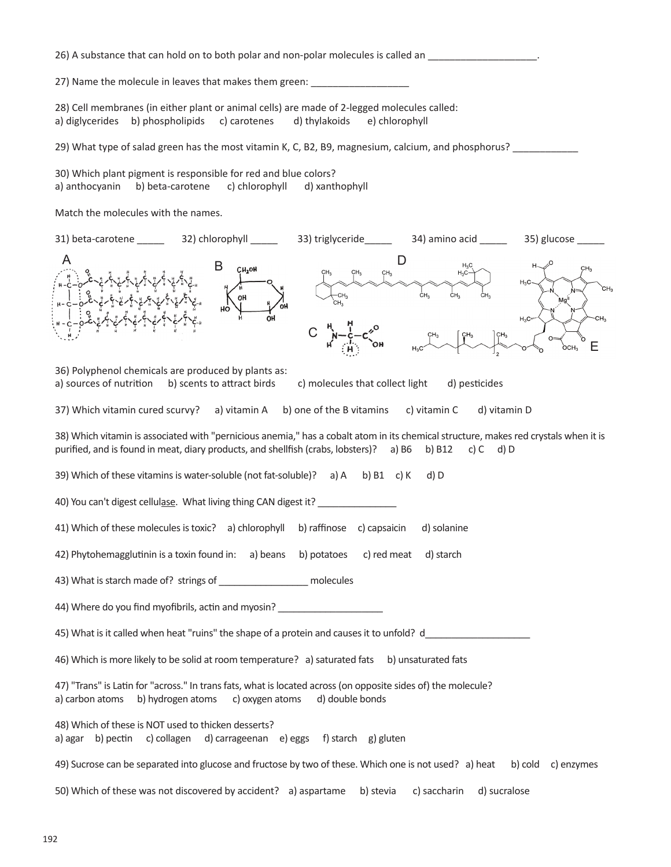26) A substance that can hold on to both polar and non-polar molecules is called an \_\_\_\_\_\_\_\_\_\_\_\_\_\_\_\_\_\_\_\_\_\_.

27) Name the molecule in leaves that makes them green: \_\_\_\_\_\_\_

28) Cell membranes (in either plant or animal cells) are made of 2-legged molecules called: a) diglycerides b) phospholipids c) carotenes d) thylakoids e) chlorophyll

29) What type of salad green has the most vitamin K, C, B2, B9, magnesium, calcium, and phosphorus? \_\_\_\_\_\_\_\_\_\_

30) Which plant pigment is responsible for red and blue colors? a) anthocyanin b) beta-carotene c) chlorophyll d) xanthophyll

Match the molecules with the names.

| 31) beta-carotene ________ 32) chlorophyll ______                                                                                                                                                                              |                            | 33) triglyceride_____              | 34) amino acid _____             | 35) glucose _        |
|--------------------------------------------------------------------------------------------------------------------------------------------------------------------------------------------------------------------------------|----------------------------|------------------------------------|----------------------------------|----------------------|
|                                                                                                                                                                                                                                | B<br>CH2OH<br>OH           | CH <sub>3</sub><br>CH <sub>3</sub> | $\Box$<br>ċн.<br>ĊН <sub>з</sub> | сн,<br>$H_3C_2$<br>E |
| 36) Polyphenol chemicals are produced by plants as:<br>a) sources of nutrition                                                                                                                                                 | b) scents to attract birds | c) molecules that collect light    | d) pesticides                    |                      |
| 37) Which vitamin cured scurvy?                                                                                                                                                                                                | a) vitamin A               | b) one of the B vitamins           | c) vitamin C<br>d) vitamin D     |                      |
| 38) Which vitamin is associated with "pernicious anemia," has a cobalt atom in its chemical structure, makes red crystals when it is<br>purified, and is found in meat, diary products, and shellfish (crabs, lobsters)? a) B6 |                            |                                    | b) B12<br>c) $C$ d) $D$          |                      |
| 39) Which of these vitamins is water-soluble (not fat-soluble)? a) A                                                                                                                                                           |                            | b) $B1$ c) K                       | d) D                             |                      |
| 40) You can't digest cellulase. What living thing CAN digest it?                                                                                                                                                               |                            |                                    |                                  |                      |
| 41) Which of these molecules is toxic? a) chlorophyll b) raffinose c) capsaicin                                                                                                                                                |                            |                                    | d) solanine                      |                      |
| 42) Phytohemagglutinin is a toxin found in: a) beans b) potatoes                                                                                                                                                               |                            | c) red meat                        | d) starch                        |                      |
| 43) What is starch made of? strings of ___________________ molecules                                                                                                                                                           |                            |                                    |                                  |                      |
| 44) Where do you find myofibrils, actin and myosin? ____________________________                                                                                                                                               |                            |                                    |                                  |                      |
| 45) What is it called when heat "ruins" the shape of a protein and causes it to unfold? d                                                                                                                                      |                            |                                    |                                  |                      |
| 46) Which is more likely to be solid at room temperature? a) saturated fats b) unsaturated fats                                                                                                                                |                            |                                    |                                  |                      |
| 47) "Trans" is Latin for "across." In trans fats, what is located across (on opposite sides of) the molecule?<br>a) carbon atoms<br>b) hydrogen atoms                                                                          | c) oxygen atoms            | d) double bonds                    |                                  |                      |
| 48) Which of these is NOT used to thicken desserts?<br>a) agar b) pectin c) collagen d) carrageenan e) eggs f) starch g) gluten                                                                                                |                            |                                    |                                  |                      |
| 49) Sucrose can be separated into glucose and fructose by two of these. Which one is not used? a) heat                                                                                                                         |                            |                                    |                                  | b) cold c) enzymes   |
| 50) Which of these was not discovered by accident? a) aspartame                                                                                                                                                                |                            | b) stevia                          | c) saccharin<br>d) sucralose     |                      |